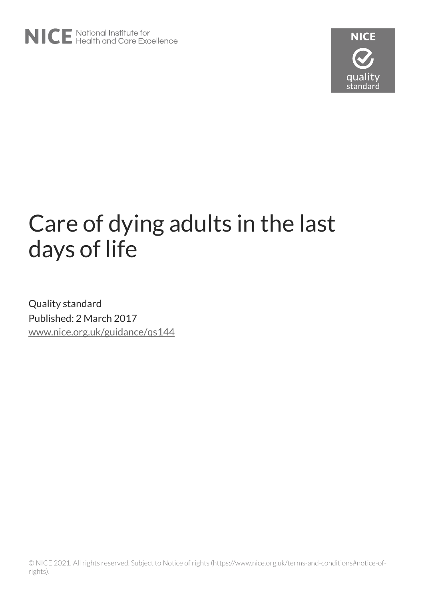

# Care of dying adults in the last days of life

Quality standard Published: 2 March 2017 [www.nice.org.uk/guidance/qs144](https://www.nice.org.uk/guidance/qs144)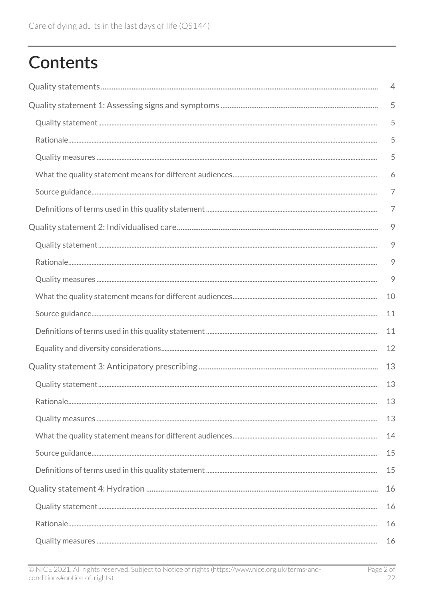## **Contents**

| $\overline{4}$ |
|----------------|
| 5              |
| 5              |
| 5              |
| 5              |
| 6              |
| 7              |
| 7              |
| 9              |
| 9              |
| $\circ$        |
| 9              |
| 10             |
| 11             |
| 11             |
| 12             |
| 13             |
| 13             |
| 13             |
| 13             |
| 14             |
| 15             |
| 15             |
| 16             |
| 16             |
| 16             |
| 16             |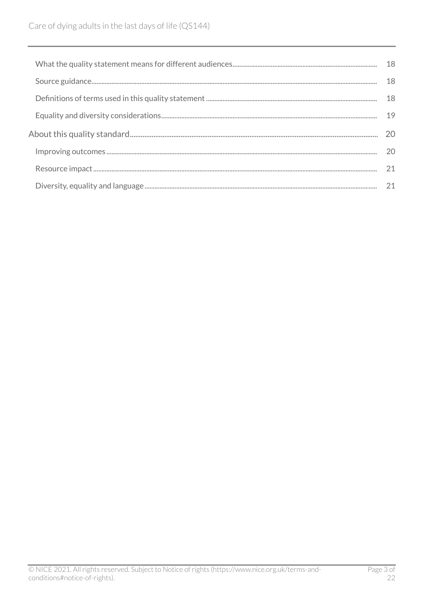| 18 |
|----|
| 18 |
| 18 |
| 19 |
| 20 |
| 20 |
| 21 |
|    |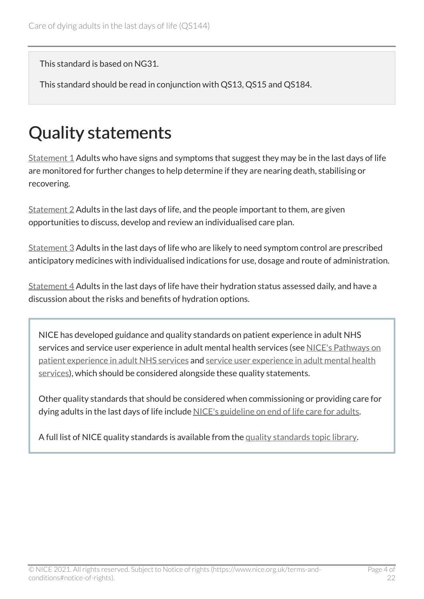This standard is based on NG31.

This standard should be read in conjunction with QS13, QS15 and QS184.

## <span id="page-3-0"></span>Quality statements

[Statement 1](#page-4-0) Adults who have signs and symptoms that suggest they may be in the last days of life are monitored for further changes to help determine if they are nearing death, stabilising or recovering.

[Statement 2](#page-8-0) Adults in the last days of life, and the people important to them, are given opportunities to discuss, develop and review an individualised care plan.

[Statement 3](#page-12-0) Adults in the last days of life who are likely to need symptom control are prescribed anticipatory medicines with individualised indications for use, dosage and route of administration.

[Statement 4](#page-15-0) Adults in the last days of life have their hydration status assessed daily, and have a discussion about the risks and benefits of hydration options.

NICE has developed guidance and quality standards on patient experience in adult NHS services and service user experience in adult mental health services (see [NICE's Pathways on](http://pathways.nice.org.uk/pathways/patient-experience-in-adult-nhs-services)  [patient experience in adult NHS services](http://pathways.nice.org.uk/pathways/patient-experience-in-adult-nhs-services) and [service user experience in adult mental health](http://pathways.nice.org.uk/pathways/service-user-experience-in-adult-mental-health-services)  [services\)](http://pathways.nice.org.uk/pathways/service-user-experience-in-adult-mental-health-services), which should be considered alongside these quality statements.

Other quality standards that should be considered when commissioning or providing care for dying adults in the last days of life include [NICE's guideline on end of life care for adults.](https://www.nice.org.uk/guidance/qs13)

A full list of NICE quality standards is available from the [quality standards topic library](http://www.nice.org.uk/Standards-and-Indicators/Developing-NICE-quality-standards-/Quality-standards-topic-library).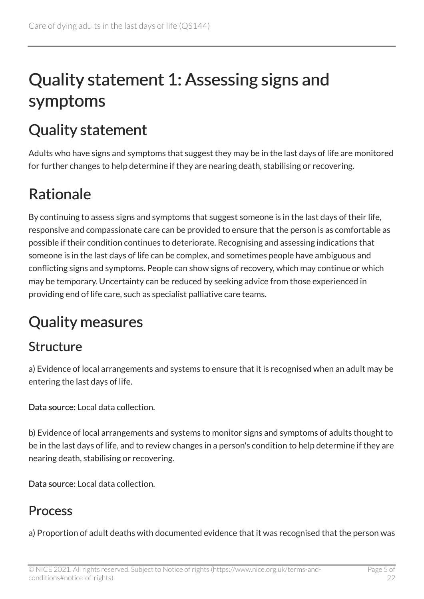## <span id="page-4-0"></span>Quality statement 1: Assessing signs and symptoms

### <span id="page-4-1"></span>Quality statement

Adults who have signs and symptoms that suggest they may be in the last days of life are monitored for further changes to help determine if they are nearing death, stabilising or recovering.

### <span id="page-4-2"></span>Rationale

By continuing to assess signs and symptoms that suggest someone is in the last days of their life, responsive and compassionate care can be provided to ensure that the person is as comfortable as possible if their condition continues to deteriorate. Recognising and assessing indications that someone is in the last days of life can be complex, and sometimes people have ambiguous and conflicting signs and symptoms. People can show signs of recovery, which may continue or which may be temporary. Uncertainty can be reduced by seeking advice from those experienced in providing end of life care, such as specialist palliative care teams.

### <span id="page-4-3"></span>Quality measures

#### Structure

a) Evidence of local arrangements and systems to ensure that it is recognised when an adult may be entering the last days of life.

Data source: Local data collection.

b) Evidence of local arrangements and systems to monitor signs and symptoms of adults thought to be in the last days of life, and to review changes in a person's condition to help determine if they are nearing death, stabilising or recovering.

Data source: Local data collection.

#### **Process**

a) Proportion of adult deaths with documented evidence that it was recognised that the person was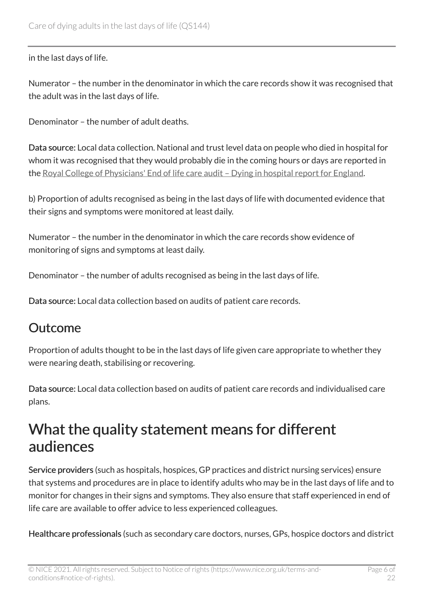in the last days of life.

Numerator – the number in the denominator in which the care records show it was recognised that the adult was in the last days of life.

Denominator – the number of adult deaths.

Data source: Local data collection. National and trust level data on people who died in hospital for whom it was recognised that they would probably die in the coming hours or days are reported in the [Royal College of Physicians' End of life care audit – Dying in hospital report for England](https://www.rcplondon.ac.uk/projects/end-life-care-audit-dying-hospital).

b) Proportion of adults recognised as being in the last days of life with documented evidence that their signs and symptoms were monitored at least daily.

Numerator – the number in the denominator in which the care records show evidence of monitoring of signs and symptoms at least daily.

Denominator – the number of adults recognised as being in the last days of life.

Data source: Local data collection based on audits of patient care records.

#### Outcome

Proportion of adults thought to be in the last days of life given care appropriate to whether they were nearing death, stabilising or recovering.

Data source: Local data collection based on audits of patient care records and individualised care plans.

#### <span id="page-5-0"></span>What the quality statement means for different audiences

Service providers (such as hospitals, hospices, GP practices and district nursing services) ensure that systems and procedures are in place to identify adults who may be in the last days of life and to monitor for changes in their signs and symptoms. They also ensure that staff experienced in end of life care are available to offer advice to less experienced colleagues.

Healthcare professionals (such as secondary care doctors, nurses, GPs, hospice doctors and district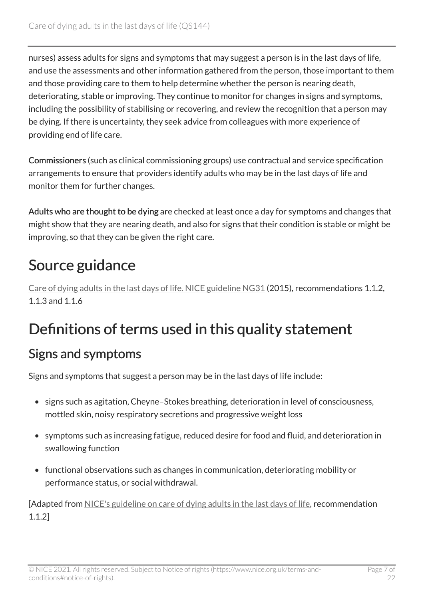nurses) assess adults for signs and symptoms that may suggest a person is in the last days of life, and use the assessments and other information gathered from the person, those important to them and those providing care to them to help determine whether the person is nearing death, deteriorating, stable or improving. They continue to monitor for changes in signs and symptoms, including the possibility of stabilising or recovering, and review the recognition that a person may be dying. If there is uncertainty, they seek advice from colleagues with more experience of providing end of life care.

Commissioners (such as clinical commissioning groups) use contractual and service specification arrangements to ensure that providers identify adults who may be in the last days of life and monitor them for further changes.

Adults who are thought to be dying are checked at least once a day for symptoms and changes that might show that they are nearing death, and also for signs that their condition is stable or might be improving, so that they can be given the right care.

### <span id="page-6-0"></span>Source guidance

[Care of dying adults in the last days of life. NICE guideline NG31](https://www.nice.org.uk/guidance/ng31) (2015), recommendations 1.1.2, 1.1.3 and 1.1.6

### <span id="page-6-1"></span>Definitions of terms used in this quality statement

#### Signs and symptoms

Signs and symptoms that suggest a person may be in the last days of life include:

- signs such as agitation, Cheyne–Stokes breathing, deterioration in level of consciousness, mottled skin, noisy respiratory secretions and progressive weight loss
- symptoms such as increasing fatigue, reduced desire for food and fluid, and deterioration in swallowing function
- functional observations such as changes in communication, deteriorating mobility or performance status, or social withdrawal.

[Adapted from [NICE's guideline on care of dying adults in the last days of life](https://www.nice.org.uk/guidance/ng31), recommendation 1.1.2]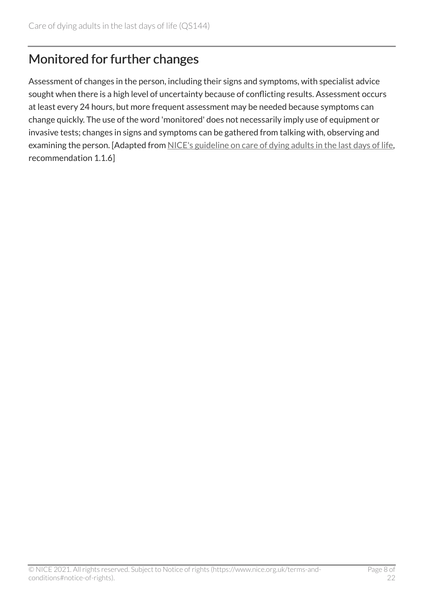#### Monitored for further changes

Assessment of changes in the person, including their signs and symptoms, with specialist advice sought when there is a high level of uncertainty because of conflicting results. Assessment occurs at least every 24 hours, but more frequent assessment may be needed because symptoms can change quickly. The use of the word 'monitored' does not necessarily imply use of equipment or invasive tests; changes in signs and symptoms can be gathered from talking with, observing and examining the person. [Adapted from [NICE's guideline on care of dying adults in the last days of life](https://www.nice.org.uk/guidance/ng31), recommendation 1.1.6]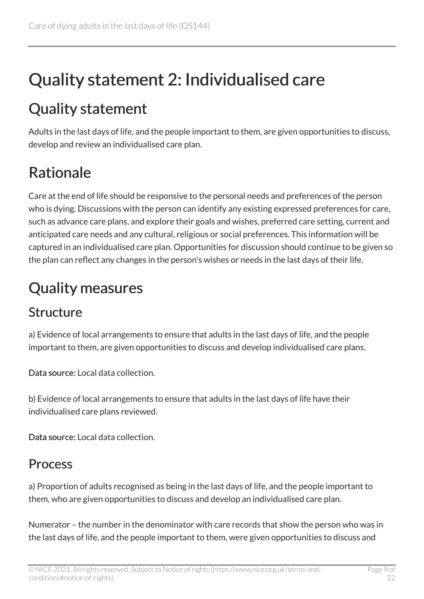## <span id="page-8-0"></span>Quality statement 2: Individualised care

### <span id="page-8-1"></span>Quality statement

Adults in the last days of life, and the people important to them, are given opportunities to discuss, develop and review an individualised care plan.

### <span id="page-8-2"></span>Rationale

Care at the end of life should be responsive to the personal needs and preferences of the person who is dying. Discussions with the person can identify any existing expressed preferences for care, such as advance care plans, and explore their goals and wishes, preferred care setting, current and anticipated care needs and any cultural, religious or social preferences. This information will be captured in an individualised care plan. Opportunities for discussion should continue to be given so the plan can reflect any changes in the person's wishes or needs in the last days of their life.

### <span id="page-8-3"></span>Quality measures

#### **Structure**

a) Evidence of local arrangements to ensure that adults in the last days of life, and the people important to them, are given opportunities to discuss and develop individualised care plans.

Data source: Local data collection.

b) Evidence of local arrangements to ensure that adults in the last days of life have their individualised care plans reviewed.

Data source: Local data collection.

#### Process

a) Proportion of adults recognised as being in the last days of life, and the people important to them, who are given opportunities to discuss and develop an individualised care plan.

Numerator – the number in the denominator with care records that show the person who was in the last days of life, and the people important to them, were given opportunities to discuss and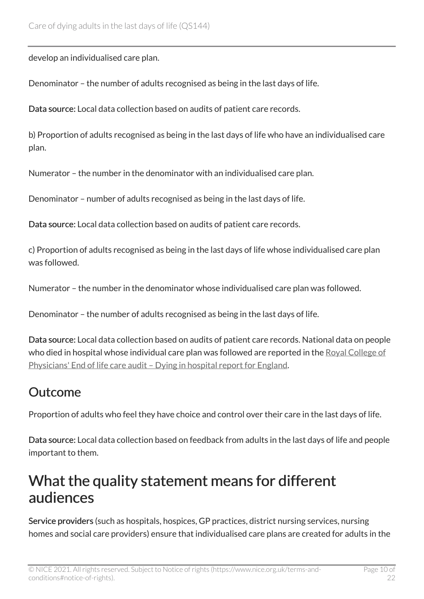develop an individualised care plan.

Denominator – the number of adults recognised as being in the last days of life.

Data source: Local data collection based on audits of patient care records.

b) Proportion of adults recognised as being in the last days of life who have an individualised care plan.

Numerator – the number in the denominator with an individualised care plan.

Denominator – number of adults recognised as being in the last days of life.

Data source: Local data collection based on audits of patient care records.

c) Proportion of adults recognised as being in the last days of life whose individualised care plan was followed.

Numerator – the number in the denominator whose individualised care plan was followed.

Denominator – the number of adults recognised as being in the last days of life.

Data source: Local data collection based on audits of patient care records. National data on people who died in hospital whose individual care plan was followed are reported in the Royal College of [Physicians' End of life care audit – Dying in hospital report for England.](https://www.rcplondon.ac.uk/projects/end-life-care-audit-dying-hospital)

#### Outcome

Proportion of adults who feel they have choice and control over their care in the last days of life.

Data source: Local data collection based on feedback from adults in the last days of life and people important to them.

#### <span id="page-9-0"></span>What the quality statement means for different audiences

Service providers (such as hospitals, hospices, GP practices, district nursing services, nursing homes and social care providers) ensure that individualised care plans are created for adults in the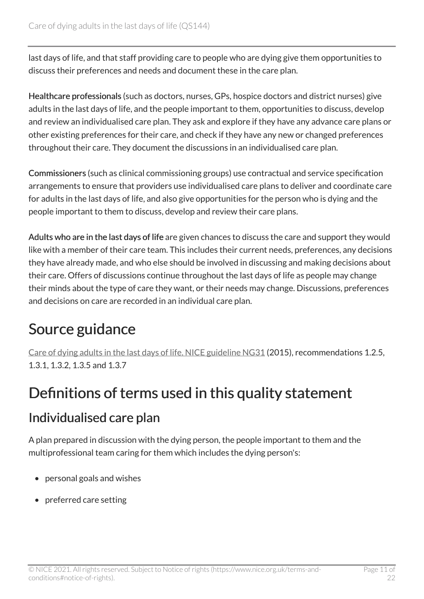last days of life, and that staff providing care to people who are dying give them opportunities to discuss their preferences and needs and document these in the care plan.

Healthcare professionals (such as doctors, nurses, GPs, hospice doctors and district nurses) give adults in the last days of life, and the people important to them, opportunities to discuss, develop and review an individualised care plan. They ask and explore if they have any advance care plans or other existing preferences for their care, and check if they have any new or changed preferences throughout their care. They document the discussions in an individualised care plan.

Commissioners (such as clinical commissioning groups) use contractual and service specification arrangements to ensure that providers use individualised care plans to deliver and coordinate care for adults in the last days of life, and also give opportunities for the person who is dying and the people important to them to discuss, develop and review their care plans.

Adults who are in the last days of life are given chances to discuss the care and support they would like with a member of their care team. This includes their current needs, preferences, any decisions they have already made, and who else should be involved in discussing and making decisions about their care. Offers of discussions continue throughout the last days of life as people may change their minds about the type of care they want, or their needs may change. Discussions, preferences and decisions on care are recorded in an individual care plan.

### <span id="page-10-0"></span>Source guidance

[Care of dying adults in the last days of life. NICE guideline NG31](https://www.nice.org.uk/guidance/ng31) (2015), recommendations 1.2.5, 1.3.1, 1.3.2, 1.3.5 and 1.3.7

#### <span id="page-10-1"></span>Definitions of terms used in this quality statement

#### Individualised care plan

A plan prepared in discussion with the dying person, the people important to them and the multiprofessional team caring for them which includes the dying person's:

- personal goals and wishes
- preferred care setting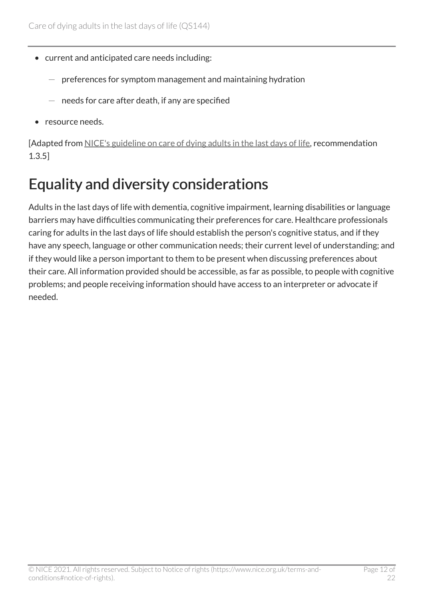- current and anticipated care needs including:
	- preferences for symptom management and maintaining hydration
	- needs for care after death, if any are specified
- resource needs.

[Adapted from [NICE's guideline on care of dying adults in the last days of life](https://www.nice.org.uk/guidance/ng31), recommendation 1.3.5]

### <span id="page-11-0"></span>Equality and diversity considerations

Adults in the last days of life with dementia, cognitive impairment, learning disabilities or language barriers may have difficulties communicating their preferences for care. Healthcare professionals caring for adults in the last days of life should establish the person's cognitive status, and if they have any speech, language or other communication needs; their current level of understanding; and if they would like a person important to them to be present when discussing preferences about their care. All information provided should be accessible, as far as possible, to people with cognitive problems; and people receiving information should have access to an interpreter or advocate if needed.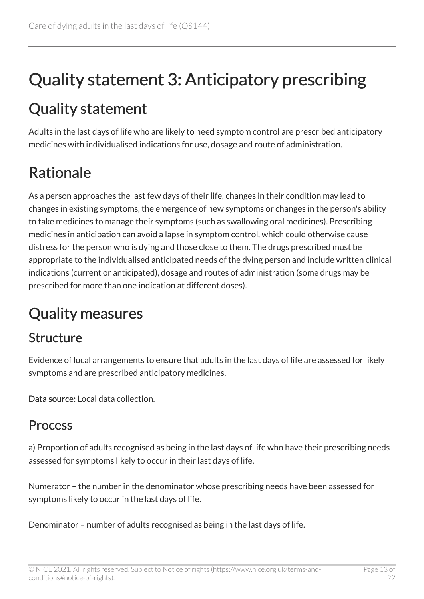## <span id="page-12-0"></span>Quality statement 3: Anticipatory prescribing

### <span id="page-12-1"></span>Quality statement

Adults in the last days of life who are likely to need symptom control are prescribed anticipatory medicines with individualised indications for use, dosage and route of administration.

### <span id="page-12-2"></span>Rationale

As a person approaches the last few days of their life, changes in their condition may lead to changes in existing symptoms, the emergence of new symptoms or changes in the person's ability to take medicines to manage their symptoms (such as swallowing oral medicines). Prescribing medicines in anticipation can avoid a lapse in symptom control, which could otherwise cause distress for the person who is dying and those close to them. The drugs prescribed must be appropriate to the individualised anticipated needs of the dying person and include written clinical indications (current or anticipated), dosage and routes of administration (some drugs may be prescribed for more than one indication at different doses).

### <span id="page-12-3"></span>Quality measures

#### Structure

Evidence of local arrangements to ensure that adults in the last days of life are assessed for likely symptoms and are prescribed anticipatory medicines.

Data source: Local data collection.

#### **Process**

a) Proportion of adults recognised as being in the last days of life who have their prescribing needs assessed for symptoms likely to occur in their last days of life.

Numerator – the number in the denominator whose prescribing needs have been assessed for symptoms likely to occur in the last days of life.

Denominator – number of adults recognised as being in the last days of life.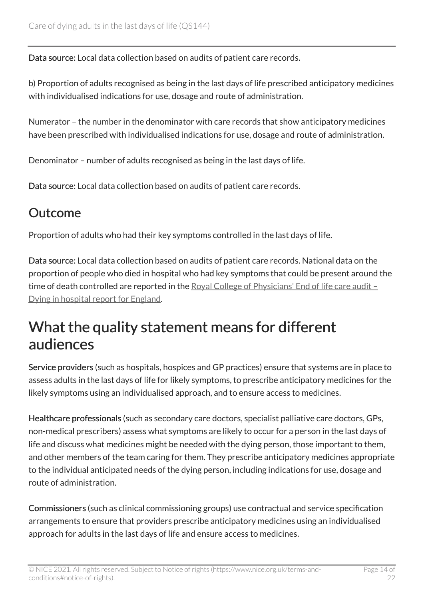Data source: Local data collection based on audits of patient care records.

b) Proportion of adults recognised as being in the last days of life prescribed anticipatory medicines with individualised indications for use, dosage and route of administration.

Numerator – the number in the denominator with care records that show anticipatory medicines have been prescribed with individualised indications for use, dosage and route of administration.

Denominator – number of adults recognised as being in the last days of life.

Data source: Local data collection based on audits of patient care records.

#### **Outcome**

Proportion of adults who had their key symptoms controlled in the last days of life.

Data source: Local data collection based on audits of patient care records. National data on the proportion of people who died in hospital who had key symptoms that could be present around the time of death controlled are reported in the [Royal College of Physicians' End of life care audit –](https://www.rcplondon.ac.uk/projects/end-life-care-audit-dying-hospital)  [Dying in hospital report for England.](https://www.rcplondon.ac.uk/projects/end-life-care-audit-dying-hospital)

#### <span id="page-13-0"></span>What the quality statement means for different audiences

Service providers (such as hospitals, hospices and GP practices) ensure that systems are in place to assess adults in the last days of life for likely symptoms, to prescribe anticipatory medicines for the likely symptoms using an individualised approach, and to ensure access to medicines.

Healthcare professionals (such as secondary care doctors, specialist palliative care doctors, GPs, non-medical prescribers) assess what symptoms are likely to occur for a person in the last days of life and discuss what medicines might be needed with the dying person, those important to them, and other members of the team caring for them. They prescribe anticipatory medicines appropriate to the individual anticipated needs of the dying person, including indications for use, dosage and route of administration.

Commissioners (such as clinical commissioning groups) use contractual and service specification arrangements to ensure that providers prescribe anticipatory medicines using an individualised approach for adults in the last days of life and ensure access to medicines.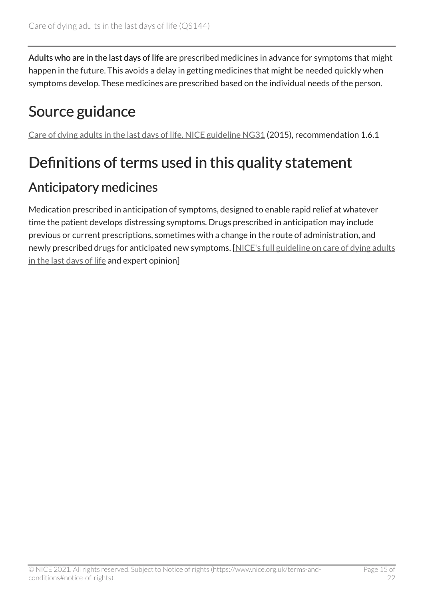Adults who are in the last days of life are prescribed medicines in advance for symptoms that might happen in the future. This avoids a delay in getting medicines that might be needed quickly when symptoms develop. These medicines are prescribed based on the individual needs of the person.

### <span id="page-14-0"></span>Source guidance

[Care of dying adults in the last days of life. NICE guideline NG31](https://www.nice.org.uk/guidance/ng31) (2015), recommendation 1.6.1

### <span id="page-14-1"></span>Definitions of terms used in this quality statement

#### Anticipatory medicines

Medication prescribed in anticipation of symptoms, designed to enable rapid relief at whatever time the patient develops distressing symptoms. Drugs prescribed in anticipation may include previous or current prescriptions, sometimes with a change in the route of administration, and newly prescribed drugs for anticipated new symptoms. [\[NICE's full guideline on care of dying adults](https://www.nice.org.uk/guidance/ng31) [in the last days of life](https://www.nice.org.uk/guidance/ng31) and expert opinion]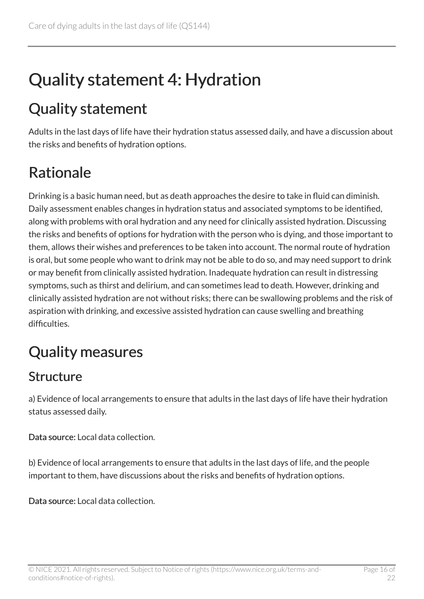## <span id="page-15-0"></span>Quality statement 4: Hydration

### <span id="page-15-1"></span>Quality statement

Adults in the last days of life have their hydration status assessed daily, and have a discussion about the risks and benefits of hydration options.

### <span id="page-15-2"></span>Rationale

Drinking is a basic human need, but as death approaches the desire to take in fluid can diminish. Daily assessment enables changes in hydration status and associated symptoms to be identified, along with problems with oral hydration and any need for clinically assisted hydration. Discussing the risks and benefits of options for hydration with the person who is dying, and those important to them, allows their wishes and preferences to be taken into account. The normal route of hydration is oral, but some people who want to drink may not be able to do so, and may need support to drink or may benefit from clinically assisted hydration. Inadequate hydration can result in distressing symptoms, such as thirst and delirium, and can sometimes lead to death. However, drinking and clinically assisted hydration are not without risks; there can be swallowing problems and the risk of aspiration with drinking, and excessive assisted hydration can cause swelling and breathing difficulties.

### <span id="page-15-3"></span>Quality measures

#### Structure

a) Evidence of local arrangements to ensure that adults in the last days of life have their hydration status assessed daily.

Data source: Local data collection.

b) Evidence of local arrangements to ensure that adults in the last days of life, and the people important to them, have discussions about the risks and benefits of hydration options.

Data source: Local data collection.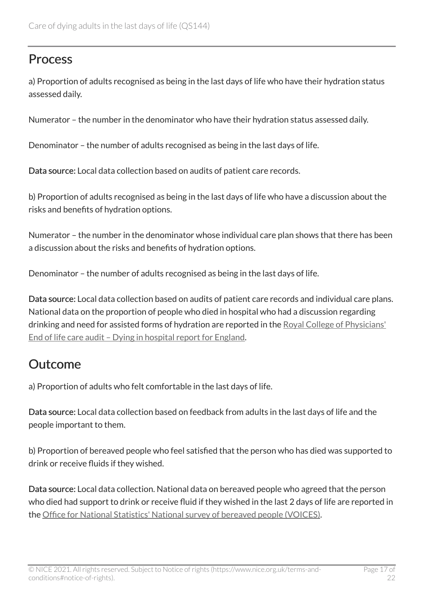#### **Process**

a) Proportion of adults recognised as being in the last days of life who have their hydration status assessed daily.

Numerator – the number in the denominator who have their hydration status assessed daily.

Denominator – the number of adults recognised as being in the last days of life.

Data source: Local data collection based on audits of patient care records.

b) Proportion of adults recognised as being in the last days of life who have a discussion about the risks and benefits of hydration options.

Numerator – the number in the denominator whose individual care plan shows that there has been a discussion about the risks and benefits of hydration options.

Denominator – the number of adults recognised as being in the last days of life.

Data source: Local data collection based on audits of patient care records and individual care plans. National data on the proportion of people who died in hospital who had a discussion regarding drinking and need for assisted forms of hydration are reported in the [Royal College of Physicians'](https://www.rcplondon.ac.uk/projects/end-life-care-audit-dying-hospital) [End of life care audit – Dying in hospital report for England.](https://www.rcplondon.ac.uk/projects/end-life-care-audit-dying-hospital)

#### Outcome

a) Proportion of adults who felt comfortable in the last days of life.

Data source: Local data collection based on feedback from adults in the last days of life and the people important to them.

b) Proportion of bereaved people who feel satisfied that the person who has died was supported to drink or receive fluids if they wished.

Data source: Local data collection. National data on bereaved people who agreed that the person who died had support to drink or receive fluid if they wished in the last 2 days of life are reported in the [Office for National Statistics' National survey of bereaved people \(VOICES\).](http://www.ons.gov.uk/peoplepopulationandcommunity/healthandsocialcare/healthcaresystem/bulletins/nationalsurveyofbereavedpeoplevoices/previousReleases)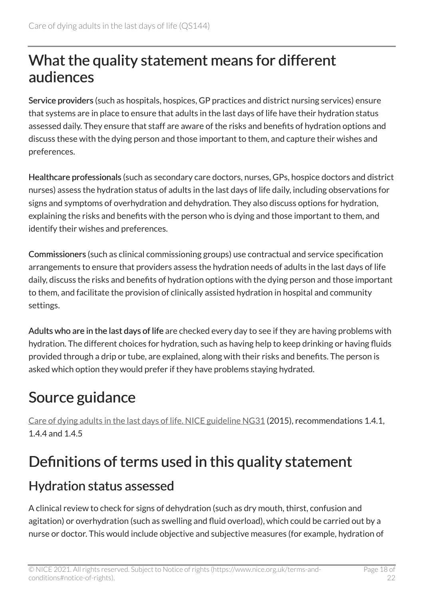#### <span id="page-17-0"></span>What the quality statement means for different audiences

Service providers (such as hospitals, hospices, GP practices and district nursing services) ensure that systems are in place to ensure that adults in the last days of life have their hydration status assessed daily. They ensure that staff are aware of the risks and benefits of hydration options and discuss these with the dying person and those important to them, and capture their wishes and preferences.

Healthcare professionals (such as secondary care doctors, nurses, GPs, hospice doctors and district nurses) assess the hydration status of adults in the last days of life daily, including observations for signs and symptoms of overhydration and dehydration. They also discuss options for hydration, explaining the risks and benefits with the person who is dying and those important to them, and identify their wishes and preferences.

Commissioners (such as clinical commissioning groups) use contractual and service specification arrangements to ensure that providers assess the hydration needs of adults in the last days of life daily, discuss the risks and benefits of hydration options with the dying person and those important to them, and facilitate the provision of clinically assisted hydration in hospital and community settings.

Adults who are in the last days of life are checked every day to see if they are having problems with hydration. The different choices for hydration, such as having help to keep drinking or having fluids provided through a drip or tube, are explained, along with their risks and benefits. The person is asked which option they would prefer if they have problems staying hydrated.

### <span id="page-17-1"></span>Source guidance

[Care of dying adults in the last days of life. NICE guideline NG31](https://www.nice.org.uk/guidance/ng31) (2015), recommendations 1.4.1, 1.4.4 and 1.4.5

### <span id="page-17-2"></span>Definitions of terms used in this quality statement

#### Hydration status assessed

A clinical review to check for signs of dehydration (such as dry mouth, thirst, confusion and agitation) or overhydration (such as swelling and fluid overload), which could be carried out by a nurse or doctor. This would include objective and subjective measures (for example, hydration of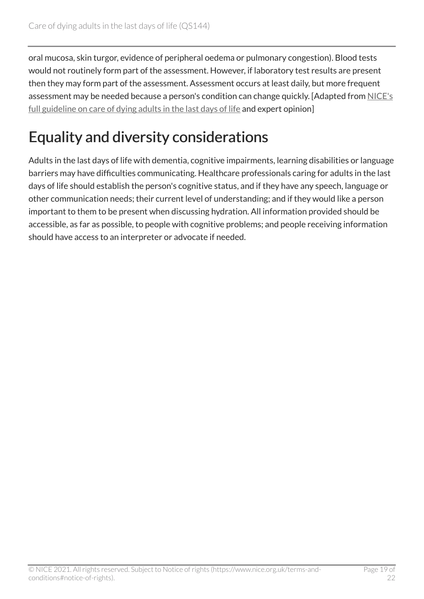oral mucosa, skin turgor, evidence of peripheral oedema or pulmonary congestion). Blood tests would not routinely form part of the assessment. However, if laboratory test results are present then they may form part of the assessment. Assessment occurs at least daily, but more frequent assessment may be needed because a person's condition can change quickly. [Adapted from [NICE's](https://www.nice.org.uk/guidance/ng31)  [full guideline on care of dying adults in the last days of life](https://www.nice.org.uk/guidance/ng31) and expert opinion]

### <span id="page-18-0"></span>Equality and diversity considerations

Adults in the last days of life with dementia, cognitive impairments, learning disabilities or language barriers may have difficulties communicating. Healthcare professionals caring for adults in the last days of life should establish the person's cognitive status, and if they have any speech, language or other communication needs; their current level of understanding; and if they would like a person important to them to be present when discussing hydration. All information provided should be accessible, as far as possible, to people with cognitive problems; and people receiving information should have access to an interpreter or advocate if needed.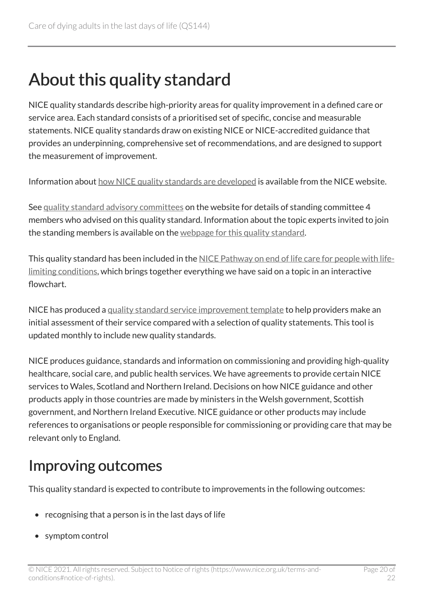## <span id="page-19-0"></span>About this quality standard

NICE quality standards describe high-priority areas for quality improvement in a defined care or service area. Each standard consists of a prioritised set of specific, concise and measurable statements. NICE quality standards draw on existing NICE or NICE-accredited guidance that provides an underpinning, comprehensive set of recommendations, and are designed to support the measurement of improvement.

Information about [how NICE quality standards are developed](https://www.nice.org.uk/standards-and-indicators/timeline-developing-quality-standards) is available from the NICE website.

See [quality standard advisory committees](http://www.nice.org.uk/Get-Involved/Meetings-in-public/Quality-Standards-Advisory-Committee) on the website for details of standing committee 4 members who advised on this quality standard. Information about the topic experts invited to join the standing members is available on the [webpage for this quality standard.](https://www.nice.org.uk/guidance/qs144/documents)

This quality standard has been included in the [NICE Pathway on end of life care for people with life](https://pathways.nice.org.uk/pathways/end-of-life-care-for-people-with-life-limiting-conditions)[limiting conditions,](https://pathways.nice.org.uk/pathways/end-of-life-care-for-people-with-life-limiting-conditions) which brings together everything we have said on a topic in an interactive flowchart.

NICE has produced a [quality standard service improvement template](https://www.nice.org.uk/about/what-we-do/into-practice/measuring-the-uptake-of-nice-guidance) to help providers make an initial assessment of their service compared with a selection of quality statements. This tool is updated monthly to include new quality standards.

NICE produces guidance, standards and information on commissioning and providing high-quality healthcare, social care, and public health services. We have agreements to provide certain NICE services to Wales, Scotland and Northern Ireland. Decisions on how NICE guidance and other products apply in those countries are made by ministers in the Welsh government, Scottish government, and Northern Ireland Executive. NICE guidance or other products may include references to organisations or people responsible for commissioning or providing care that may be relevant only to England.

#### <span id="page-19-1"></span>Improving outcomes

This quality standard is expected to contribute to improvements in the following outcomes:

- recognising that a person is in the last days of life
- symptom control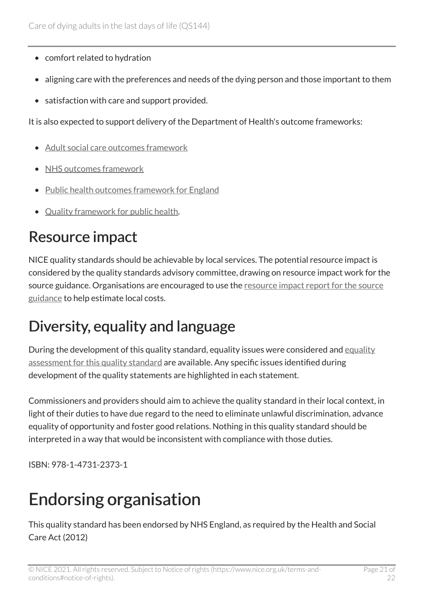- comfort related to hydration
- aligning care with the preferences and needs of the dying person and those important to them
- satisfaction with care and support provided.

It is also expected to support delivery of the Department of Health's outcome frameworks:

- [Adult social care outcomes framework](https://digital.nhs.uk/data-and-information/data-collections-and-data-sets/data-collections/social-care-collections)
- [NHS outcomes framework](https://digital.nhs.uk/data-and-information/publications/clinical-indicators/nhs-outcomes-framework)
- [Public health outcomes framework for England](https://www.gov.uk/government/collections/public-health-outcomes-framework)
- [Quality framework for public health](https://www.gov.uk/government/publications/quality-in-public-health-a-shared-responsibility).

### <span id="page-20-0"></span>Resource impact

NICE quality standards should be achievable by local services. The potential resource impact is considered by the quality standards advisory committee, drawing on resource impact work for the source guidance. Organisations are encouraged to use the resource impact report for the source [guidance](https://www.nice.org.uk/guidance/ng31/resources) to help estimate local costs.

### <span id="page-20-1"></span>Diversity, equality and language

During the development of this quality standard, [equality](https://www.nice.org.uk/guidance/qs144/documents) issues were considered and equality [assessment for this quality standard](https://www.nice.org.uk/guidance/qs144/documents) are available. Any specific issues identified during development of the quality statements are highlighted in each statement.

Commissioners and providers should aim to achieve the quality standard in their local context, in light of their duties to have due regard to the need to eliminate unlawful discrimination, advance equality of opportunity and foster good relations. Nothing in this quality standard should be interpreted in a way that would be inconsistent with compliance with those duties.

ISBN: 978-1-4731-2373-1

## Endorsing organisation

This quality standard has been endorsed by NHS England, as required by the Health and Social Care Act (2012)